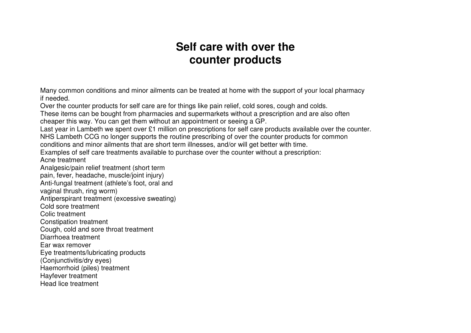## **Self care with over the counter products**

Many common conditions and minor ailments can be treated at home with the support of your local pharmacy if needed.

Over the counter products for self care are for things like pain relief, cold sores, cough and colds.

 These items can be bought from pharmacies and supermarkets without a prescription and are also often cheaper this way. You can get them without an appointment or seeing a GP.

Last year in Lambeth we spent over £1 million on prescriptions for self care products available over the counter.

NHS Lambeth CCG no longer supports the routine prescribing of over the counter products for common

conditions and minor ailments that are short term illnesses, and/or will get better with time.

Examples of self care treatments available to purchase over the counter without a prescription:

Acne treatment

Analgesic/pain relief treatment (short term

pain, fever, headache, muscle/joint injury)

Anti-fungal treatment (athlete's foot, oral and

vaginal thrush, ring worm)

Antiperspirant treatment (excessive sweating)

Cold sore treatment

Colic treatment

Constipation treatment

Cough, cold and sore throat treatment

Diarrhoea treatment

Ear wax remover

Eye treatments/lubricating products

(Conjunctivitis/dry eyes)

Haemorrhoid (piles) treatment

Hayfever treatment

Head lice treatment